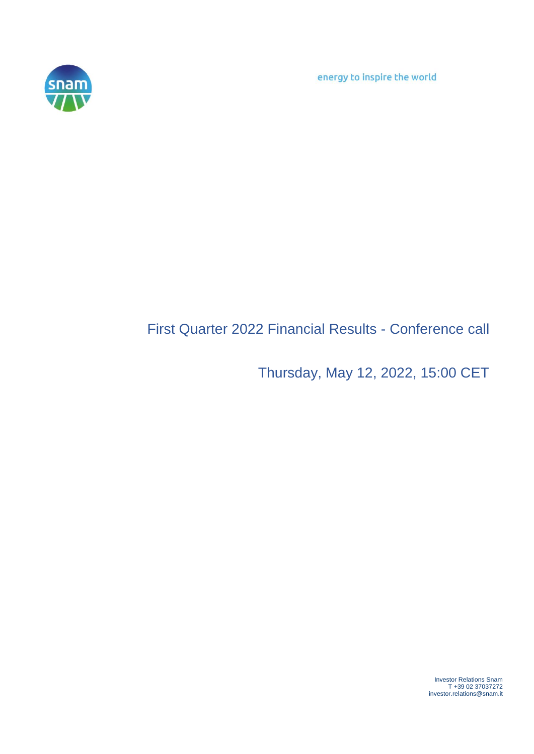energy to inspire the world



## First Quarter 2022 Financial Results - Conference call

Thursday, May 12, 2022, 15:00 CET

Investor Relations Snam T +39 02 37037272 investor.relations@snam.it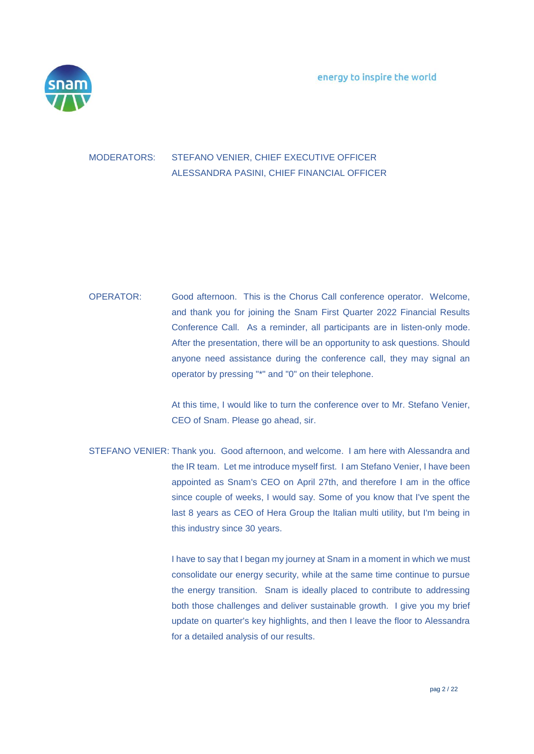

## MODERATORS: STEFANO VENIER, CHIEF EXECUTIVE OFFICER ALESSANDRA PASINI, CHIEF FINANCIAL OFFICER

## OPERATOR: Good afternoon. This is the Chorus Call conference operator. Welcome, and thank you for joining the Snam First Quarter 2022 Financial Results Conference Call. As a reminder, all participants are in listen-only mode. After the presentation, there will be an opportunity to ask questions. Should anyone need assistance during the conference call, they may signal an operator by pressing "\*" and "0" on their telephone.

At this time, I would like to turn the conference over to Mr. Stefano Venier, CEO of Snam. Please go ahead, sir.

STEFANO VENIER: Thank you. Good afternoon, and welcome. I am here with Alessandra and the IR team. Let me introduce myself first. I am Stefano Venier, I have been appointed as Snam's CEO on April 27th, and therefore I am in the office since couple of weeks, I would say. Some of you know that I've spent the last 8 years as CEO of Hera Group the Italian multi utility, but I'm being in this industry since 30 years.

> I have to say that I began my journey at Snam in a moment in which we must consolidate our energy security, while at the same time continue to pursue the energy transition. Snam is ideally placed to contribute to addressing both those challenges and deliver sustainable growth. I give you my brief update on quarter's key highlights, and then I leave the floor to Alessandra for a detailed analysis of our results.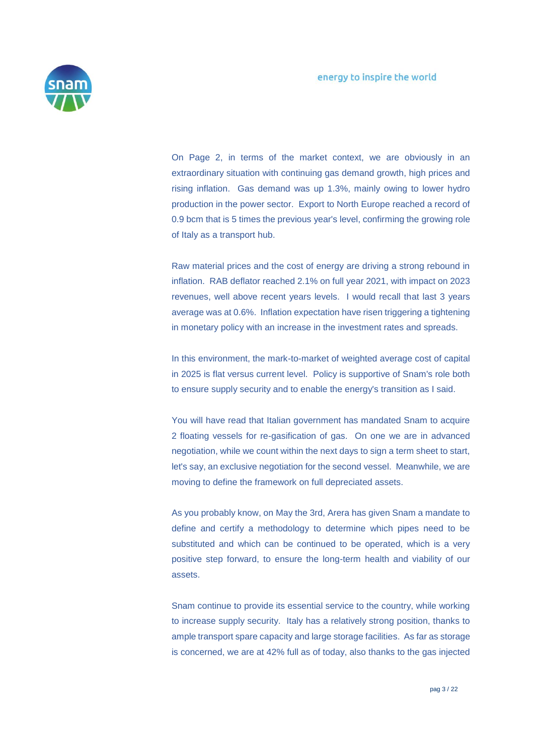

On Page 2, in terms of the market context, we are obviously in an extraordinary situation with continuing gas demand growth, high prices and rising inflation. Gas demand was up 1.3%, mainly owing to lower hydro production in the power sector. Export to North Europe reached a record of 0.9 bcm that is 5 times the previous year's level, confirming the growing role of Italy as a transport hub.

Raw material prices and the cost of energy are driving a strong rebound in inflation. RAB deflator reached 2.1% on full year 2021, with impact on 2023 revenues, well above recent years levels. I would recall that last 3 years average was at 0.6%. Inflation expectation have risen triggering a tightening in monetary policy with an increase in the investment rates and spreads.

In this environment, the mark-to-market of weighted average cost of capital in 2025 is flat versus current level. Policy is supportive of Snam's role both to ensure supply security and to enable the energy's transition as I said.

You will have read that Italian government has mandated Snam to acquire 2 floating vessels for re-gasification of gas. On one we are in advanced negotiation, while we count within the next days to sign a term sheet to start, let's say, an exclusive negotiation for the second vessel. Meanwhile, we are moving to define the framework on full depreciated assets.

As you probably know, on May the 3rd, Arera has given Snam a mandate to define and certify a methodology to determine which pipes need to be substituted and which can be continued to be operated, which is a very positive step forward, to ensure the long-term health and viability of our assets.

Snam continue to provide its essential service to the country, while working to increase supply security. Italy has a relatively strong position, thanks to ample transport spare capacity and large storage facilities. As far as storage is concerned, we are at 42% full as of today, also thanks to the gas injected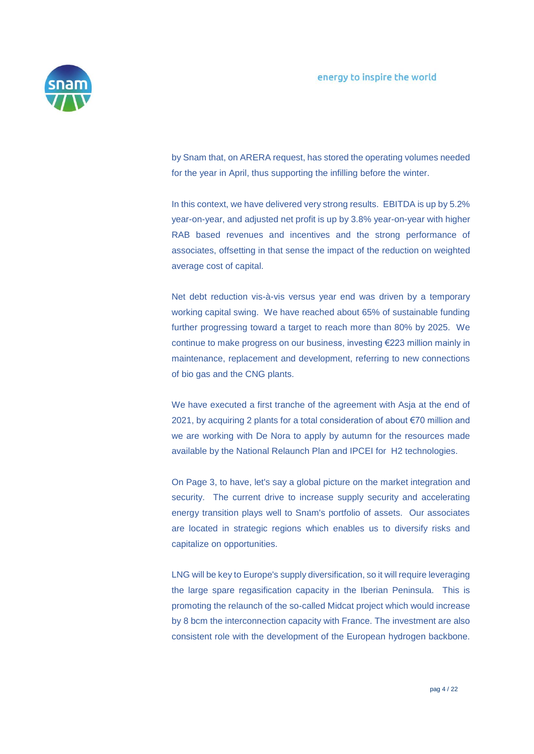

by Snam that, on ARERA request, has stored the operating volumes needed for the year in April, thus supporting the infilling before the winter.

In this context, we have delivered very strong results. EBITDA is up by 5.2% year-on-year, and adjusted net profit is up by 3.8% year-on-year with higher RAB based revenues and incentives and the strong performance of associates, offsetting in that sense the impact of the reduction on weighted average cost of capital.

Net debt reduction vis-à-vis versus year end was driven by a temporary working capital swing. We have reached about 65% of sustainable funding further progressing toward a target to reach more than 80% by 2025. We continue to make progress on our business, investing €223 million mainly in maintenance, replacement and development, referring to new connections of bio gas and the CNG plants.

We have executed a first tranche of the agreement with Asja at the end of 2021, by acquiring 2 plants for a total consideration of about €70 million and we are working with De Nora to apply by autumn for the resources made available by the National Relaunch Plan and IPCEI for H2 technologies.

On Page 3, to have, let's say a global picture on the market integration and security. The current drive to increase supply security and accelerating energy transition plays well to Snam's portfolio of assets. Our associates are located in strategic regions which enables us to diversify risks and capitalize on opportunities.

LNG will be key to Europe's supply diversification, so it will require leveraging the large spare regasification capacity in the Iberian Peninsula. This is promoting the relaunch of the so-called Midcat project which would increase by 8 bcm the interconnection capacity with France. The investment are also consistent role with the development of the European hydrogen backbone.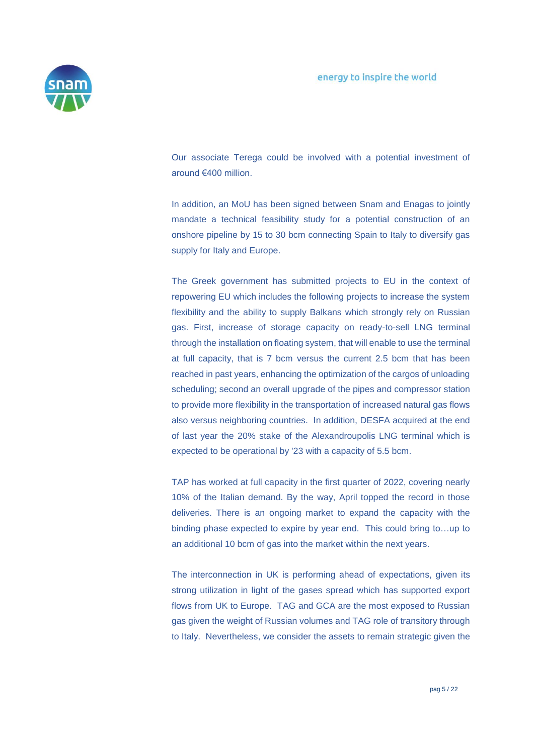

Our associate Terega could be involved with a potential investment of around €400 million.

In addition, an MoU has been signed between Snam and Enagas to jointly mandate a technical feasibility study for a potential construction of an onshore pipeline by 15 to 30 bcm connecting Spain to Italy to diversify gas supply for Italy and Europe.

The Greek government has submitted projects to EU in the context of repowering EU which includes the following projects to increase the system flexibility and the ability to supply Balkans which strongly rely on Russian gas. First, increase of storage capacity on ready-to-sell LNG terminal through the installation on floating system, that will enable to use the terminal at full capacity, that is 7 bcm versus the current 2.5 bcm that has been reached in past years, enhancing the optimization of the cargos of unloading scheduling; second an overall upgrade of the pipes and compressor station to provide more flexibility in the transportation of increased natural gas flows also versus neighboring countries. In addition, DESFA acquired at the end of last year the 20% stake of the Alexandroupolis LNG terminal which is expected to be operational by '23 with a capacity of 5.5 bcm.

TAP has worked at full capacity in the first quarter of 2022, covering nearly 10% of the Italian demand. By the way, April topped the record in those deliveries. There is an ongoing market to expand the capacity with the binding phase expected to expire by year end. This could bring to…up to an additional 10 bcm of gas into the market within the next years.

The interconnection in UK is performing ahead of expectations, given its strong utilization in light of the gases spread which has supported export flows from UK to Europe. TAG and GCA are the most exposed to Russian gas given the weight of Russian volumes and TAG role of transitory through to Italy. Nevertheless, we consider the assets to remain strategic given the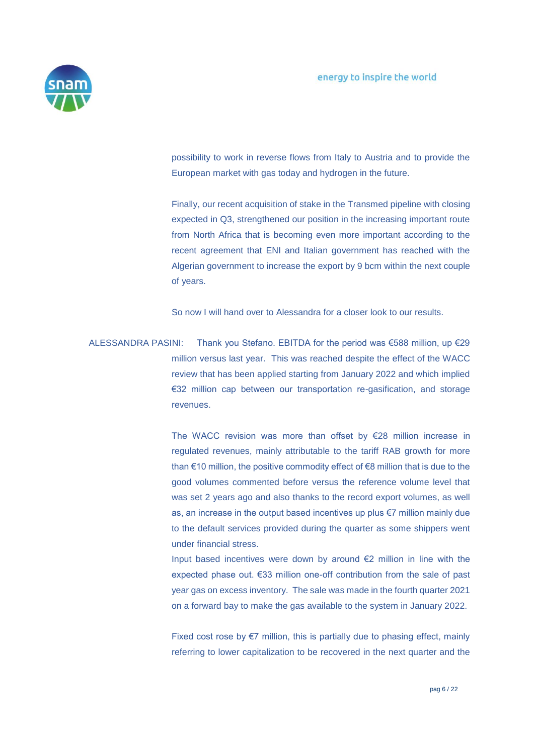

possibility to work in reverse flows from Italy to Austria and to provide the European market with gas today and hydrogen in the future.

Finally, our recent acquisition of stake in the Transmed pipeline with closing expected in Q3, strengthened our position in the increasing important route from North Africa that is becoming even more important according to the recent agreement that ENI and Italian government has reached with the Algerian government to increase the export by 9 bcm within the next couple of years.

So now I will hand over to Alessandra for a closer look to our results.

ALESSANDRA PASINI: Thank you Stefano. EBITDA for the period was €588 million, up €29 million versus last year. This was reached despite the effect of the WACC review that has been applied starting from January 2022 and which implied €32 million cap between our transportation re-gasification, and storage revenues.

> The WACC revision was more than offset by €28 million increase in regulated revenues, mainly attributable to the tariff RAB growth for more than €10 million, the positive commodity effect of €8 million that is due to the good volumes commented before versus the reference volume level that was set 2 years ago and also thanks to the record export volumes, as well as, an increase in the output based incentives up plus €7 million mainly due to the default services provided during the quarter as some shippers went under financial stress.

> Input based incentives were down by around €2 million in line with the expected phase out. €33 million one-off contribution from the sale of past year gas on excess inventory. The sale was made in the fourth quarter 2021 on a forward bay to make the gas available to the system in January 2022.

> Fixed cost rose by  $E$ 7 million, this is partially due to phasing effect, mainly referring to lower capitalization to be recovered in the next quarter and the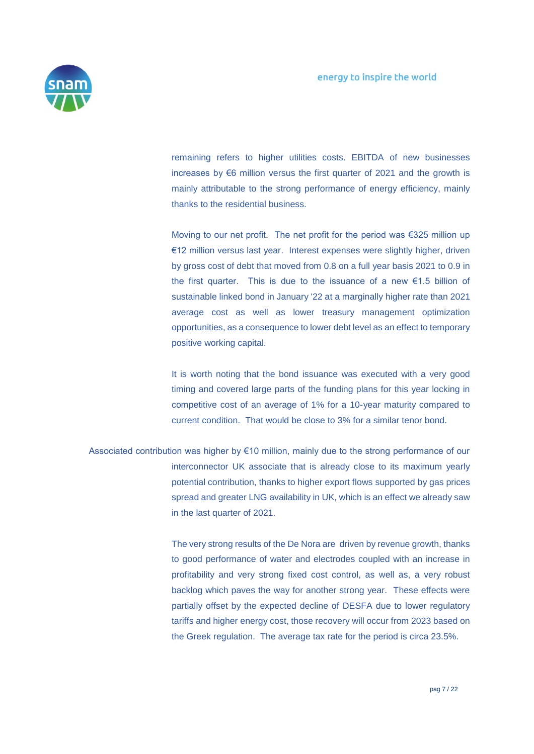

remaining refers to higher utilities costs. EBITDA of new businesses increases by  $\epsilon$ 6 million versus the first quarter of 2021 and the growth is mainly attributable to the strong performance of energy efficiency, mainly thanks to the residential business.

Moving to our net profit. The net profit for the period was €325 million up €12 million versus last year. Interest expenses were slightly higher, driven by gross cost of debt that moved from 0.8 on a full year basis 2021 to 0.9 in the first quarter. This is due to the issuance of a new €1.5 billion of sustainable linked bond in January '22 at a marginally higher rate than 2021 average cost as well as lower treasury management optimization opportunities, as a consequence to lower debt level as an effect to temporary positive working capital.

It is worth noting that the bond issuance was executed with a very good timing and covered large parts of the funding plans for this year locking in competitive cost of an average of 1% for a 10-year maturity compared to current condition. That would be close to 3% for a similar tenor bond.

Associated contribution was higher by €10 million, mainly due to the strong performance of our interconnector UK associate that is already close to its maximum yearly potential contribution, thanks to higher export flows supported by gas prices spread and greater LNG availability in UK, which is an effect we already saw in the last quarter of 2021.

> The very strong results of the De Nora are driven by revenue growth, thanks to good performance of water and electrodes coupled with an increase in profitability and very strong fixed cost control, as well as, a very robust backlog which paves the way for another strong year. These effects were partially offset by the expected decline of DESFA due to lower regulatory tariffs and higher energy cost, those recovery will occur from 2023 based on the Greek regulation. The average tax rate for the period is circa 23.5%.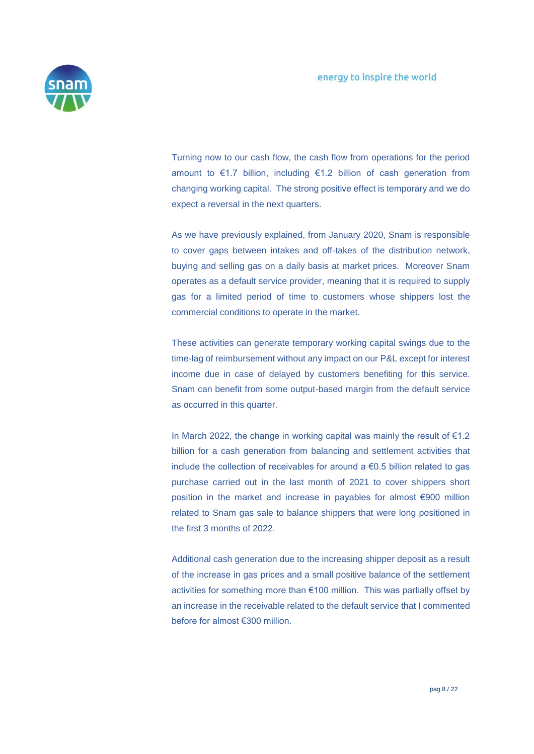

Turning now to our cash flow, the cash flow from operations for the period amount to €1.7 billion, including €1.2 billion of cash generation from changing working capital. The strong positive effect is temporary and we do expect a reversal in the next quarters.

As we have previously explained, from January 2020, Snam is responsible to cover gaps between intakes and off-takes of the distribution network, buying and selling gas on a daily basis at market prices. Moreover Snam operates as a default service provider, meaning that it is required to supply gas for a limited period of time to customers whose shippers lost the commercial conditions to operate in the market.

These activities can generate temporary working capital swings due to the time-lag of reimbursement without any impact on our P&L except for interest income due in case of delayed by customers benefiting for this service. Snam can benefit from some output-based margin from the default service as occurred in this quarter.

In March 2022, the change in working capital was mainly the result of €1.2 billion for a cash generation from balancing and settlement activities that include the collection of receivables for around a  $\epsilon$ 0.5 billion related to gas purchase carried out in the last month of 2021 to cover shippers short position in the market and increase in payables for almost €900 million related to Snam gas sale to balance shippers that were long positioned in the first 3 months of 2022.

Additional cash generation due to the increasing shipper deposit as a result of the increase in gas prices and a small positive balance of the settlement activities for something more than €100 million. This was partially offset by an increase in the receivable related to the default service that I commented before for almost €300 million.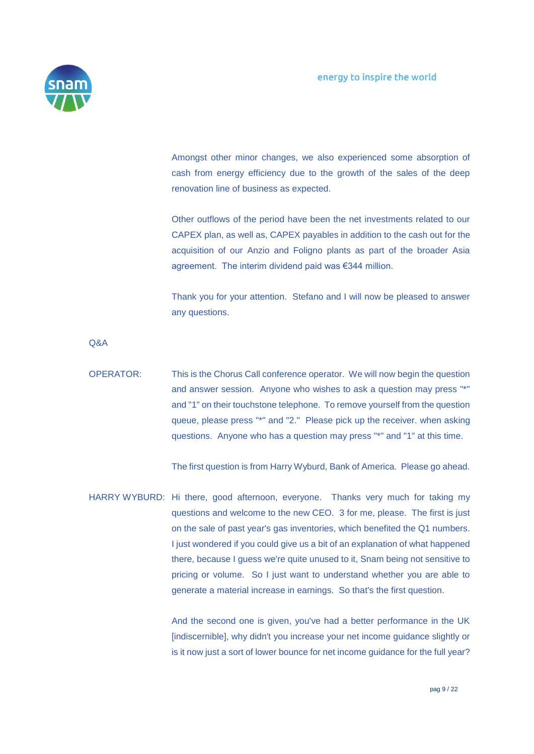

Amongst other minor changes, we also experienced some absorption of cash from energy efficiency due to the growth of the sales of the deep renovation line of business as expected.

Other outflows of the period have been the net investments related to our CAPEX plan, as well as, CAPEX payables in addition to the cash out for the acquisition of our Anzio and Foligno plants as part of the broader Asia agreement. The interim dividend paid was €344 million.

Thank you for your attention. Stefano and I will now be pleased to answer any questions.

Q&A

OPERATOR: This is the Chorus Call conference operator. We will now begin the question and answer session. Anyone who wishes to ask a question may press "\*" and "1" on their touchstone telephone. To remove yourself from the question queue, please press "\*" and "2." Please pick up the receiver. when asking questions. Anyone who has a question may press "\*" and "1" at this time.

The first question is from Harry Wyburd, Bank of America. Please go ahead.

HARRY WYBURD: Hi there, good afternoon, everyone. Thanks very much for taking my questions and welcome to the new CEO. 3 for me, please. The first is just on the sale of past year's gas inventories, which benefited the Q1 numbers. I just wondered if you could give us a bit of an explanation of what happened there, because I guess we're quite unused to it, Snam being not sensitive to pricing or volume. So I just want to understand whether you are able to generate a material increase in earnings. So that's the first question.

> And the second one is given, you've had a better performance in the UK [indiscernible], why didn't you increase your net income guidance slightly or is it now just a sort of lower bounce for net income guidance for the full year?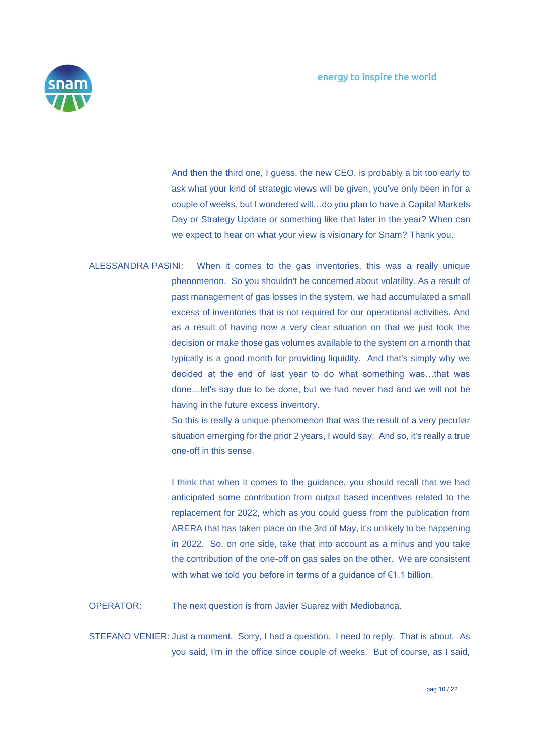

And then the third one, I guess, the new CEO, is probably a bit too early to ask what your kind of strategic views will be given, you've only been in for a couple of weeks, but I wondered will…do you plan to have a Capital Markets Day or Strategy Update or something like that later in the year? When can we expect to hear on what your view is visionary for Snam? Thank you.

ALESSANDRA PASINI: When it comes to the gas inventories, this was a really unique phenomenon. So you shouldn't be concerned about volatility. As a result of past management of gas losses in the system, we had accumulated a small excess of inventories that is not required for our operational activities. And as a result of having now a very clear situation on that we just took the decision or make those gas volumes available to the system on a month that typically is a good month for providing liquidity. And that's simply why we decided at the end of last year to do what something was…that was done…let's say due to be done, but we had never had and we will not be having in the future excess inventory.

> So this is really a unique phenomenon that was the result of a very peculiar situation emerging for the prior 2 years, I would say. And so, it's really a true one-off in this sense.

> I think that when it comes to the guidance, you should recall that we had anticipated some contribution from output based incentives related to the replacement for 2022, which as you could guess from the publication from ARERA that has taken place on the 3rd of May, it's unlikely to be happening in 2022. So, on one side, take that into account as a minus and you take the contribution of the one-off on gas sales on the other. We are consistent with what we told you before in terms of a guidance of €1.1 billion.

OPERATOR: The next question is from Javier Suarez with Mediobanca.

STEFANO VENIER: Just a moment. Sorry, I had a question. I need to reply. That is about. As you said, I'm in the office since couple of weeks. But of course, as I said,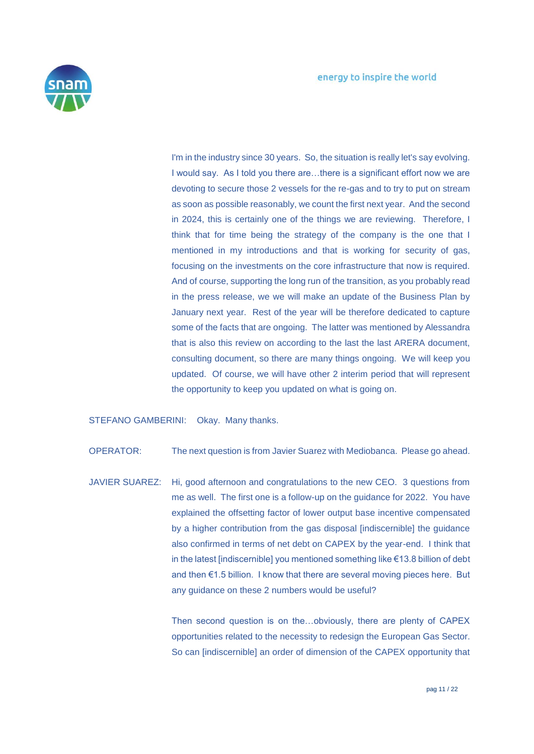

I'm in the industry since 30 years. So, the situation is really let's say evolving. I would say. As I told you there are…there is a significant effort now we are devoting to secure those 2 vessels for the re-gas and to try to put on stream as soon as possible reasonably, we count the first next year. And the second in 2024, this is certainly one of the things we are reviewing. Therefore, I think that for time being the strategy of the company is the one that I mentioned in my introductions and that is working for security of gas, focusing on the investments on the core infrastructure that now is required. And of course, supporting the long run of the transition, as you probably read in the press release, we we will make an update of the Business Plan by January next year. Rest of the year will be therefore dedicated to capture some of the facts that are ongoing. The latter was mentioned by Alessandra that is also this review on according to the last the last ARERA document, consulting document, so there are many things ongoing. We will keep you updated. Of course, we will have other 2 interim period that will represent the opportunity to keep you updated on what is going on.

STEFANO GAMBERINI: Okay. Many thanks.

OPERATOR: The next question is from Javier Suarez with Mediobanca. Please go ahead.

JAVIER SUAREZ: Hi, good afternoon and congratulations to the new CEO. 3 questions from me as well. The first one is a follow-up on the guidance for 2022. You have explained the offsetting factor of lower output base incentive compensated by a higher contribution from the gas disposal [indiscernible] the guidance also confirmed in terms of net debt on CAPEX by the year-end. I think that in the latest [indiscernible] you mentioned something like €13.8 billion of debt and then €1.5 billion. I know that there are several moving pieces here. But any guidance on these 2 numbers would be useful?

> Then second question is on the…obviously, there are plenty of CAPEX opportunities related to the necessity to redesign the European Gas Sector. So can [indiscernible] an order of dimension of the CAPEX opportunity that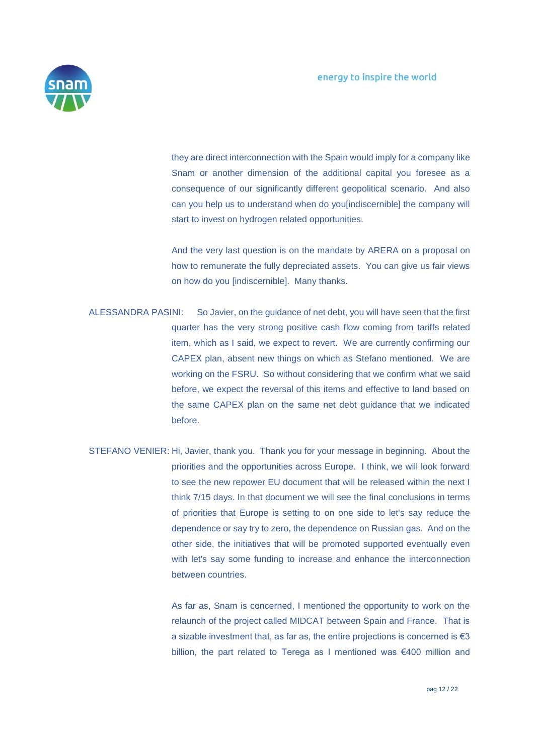

they are direct interconnection with the Spain would imply for a company like Snam or another dimension of the additional capital you foresee as a consequence of our significantly different geopolitical scenario. And also can you help us to understand when do you [indiscernible] the company will start to invest on hydrogen related opportunities.

And the very last question is on the mandate by ARERA on a proposal on how to remunerate the fully depreciated assets. You can give us fair views on how do you [indiscernible]. Many thanks.

- ALESSANDRA PASINI: So Javier, on the guidance of net debt, you will have seen that the first quarter has the very strong positive cash flow coming from tariffs related item, which as I said, we expect to revert. We are currently confirming our CAPEX plan, absent new things on which as Stefano mentioned. We are working on the FSRU. So without considering that we confirm what we said before, we expect the reversal of this items and effective to land based on the same CAPEX plan on the same net debt guidance that we indicated before.
- STEFANO VENIER: Hi, Javier, thank you. Thank you for your message in beginning. About the priorities and the opportunities across Europe. I think, we will look forward to see the new repower EU document that will be released within the next I think 7/15 days. In that document we will see the final conclusions in terms of priorities that Europe is setting to on one side to let's say reduce the dependence or say try to zero, the dependence on Russian gas. And on the other side, the initiatives that will be promoted supported eventually even with let's say some funding to increase and enhance the interconnection between countries.

As far as, Snam is concerned, I mentioned the opportunity to work on the relaunch of the project called MIDCAT between Spain and France. That is a sizable investment that, as far as, the entire projections is concerned is  $\epsilon$ 3 billion, the part related to Terega as I mentioned was €400 million and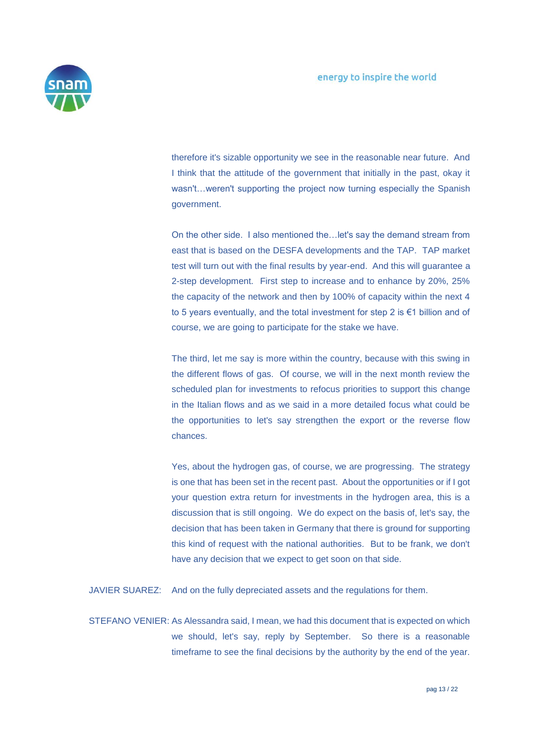

therefore it's sizable opportunity we see in the reasonable near future. And I think that the attitude of the government that initially in the past, okay it wasn't…weren't supporting the project now turning especially the Spanish government.

On the other side. I also mentioned the…let's say the demand stream from east that is based on the DESFA developments and the TAP. TAP market test will turn out with the final results by year-end. And this will guarantee a 2-step development. First step to increase and to enhance by 20%, 25% the capacity of the network and then by 100% of capacity within the next 4 to 5 years eventually, and the total investment for step 2 is €1 billion and of course, we are going to participate for the stake we have.

The third, let me say is more within the country, because with this swing in the different flows of gas. Of course, we will in the next month review the scheduled plan for investments to refocus priorities to support this change in the Italian flows and as we said in a more detailed focus what could be the opportunities to let's say strengthen the export or the reverse flow chances.

Yes, about the hydrogen gas, of course, we are progressing. The strategy is one that has been set in the recent past. About the opportunities or if I got your question extra return for investments in the hydrogen area, this is a discussion that is still ongoing. We do expect on the basis of, let's say, the decision that has been taken in Germany that there is ground for supporting this kind of request with the national authorities. But to be frank, we don't have any decision that we expect to get soon on that side.

JAVIER SUAREZ: And on the fully depreciated assets and the regulations for them.

STEFANO VENIER: As Alessandra said, I mean, we had this document that is expected on which we should, let's say, reply by September. So there is a reasonable timeframe to see the final decisions by the authority by the end of the year.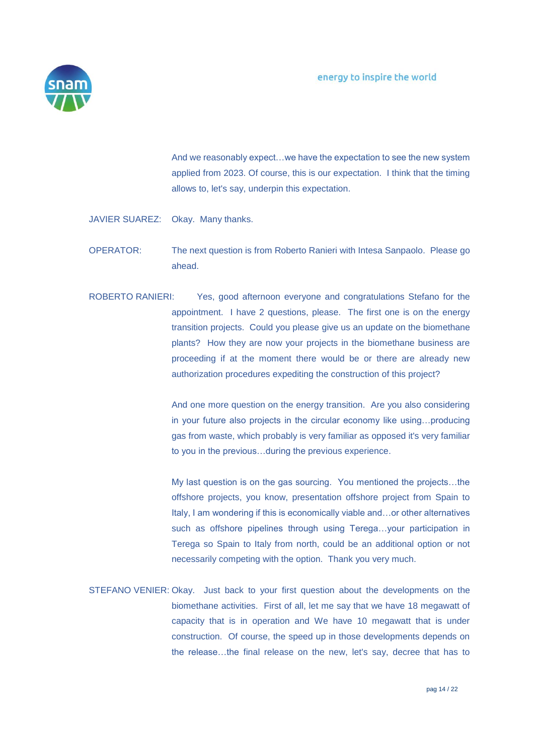

And we reasonably expect…we have the expectation to see the new system applied from 2023. Of course, this is our expectation. I think that the timing allows to, let's say, underpin this expectation.

- JAVIER SUAREZ: Okay. Many thanks.
- OPERATOR: The next question is from Roberto Ranieri with Intesa Sanpaolo. Please go ahead.
- ROBERTO RANIERI: Yes, good afternoon everyone and congratulations Stefano for the appointment. I have 2 questions, please. The first one is on the energy transition projects. Could you please give us an update on the biomethane plants? How they are now your projects in the biomethane business are proceeding if at the moment there would be or there are already new authorization procedures expediting the construction of this project?

And one more question on the energy transition. Are you also considering in your future also projects in the circular economy like using…producing gas from waste, which probably is very familiar as opposed it's very familiar to you in the previous…during the previous experience.

My last question is on the gas sourcing. You mentioned the projects…the offshore projects, you know, presentation offshore project from Spain to Italy, I am wondering if this is economically viable and…or other alternatives such as offshore pipelines through using Terega…your participation in Terega so Spain to Italy from north, could be an additional option or not necessarily competing with the option. Thank you very much.

STEFANO VENIER: Okay. Just back to your first question about the developments on the biomethane activities. First of all, let me say that we have 18 megawatt of capacity that is in operation and We have 10 megawatt that is under construction. Of course, the speed up in those developments depends on the release…the final release on the new, let's say, decree that has to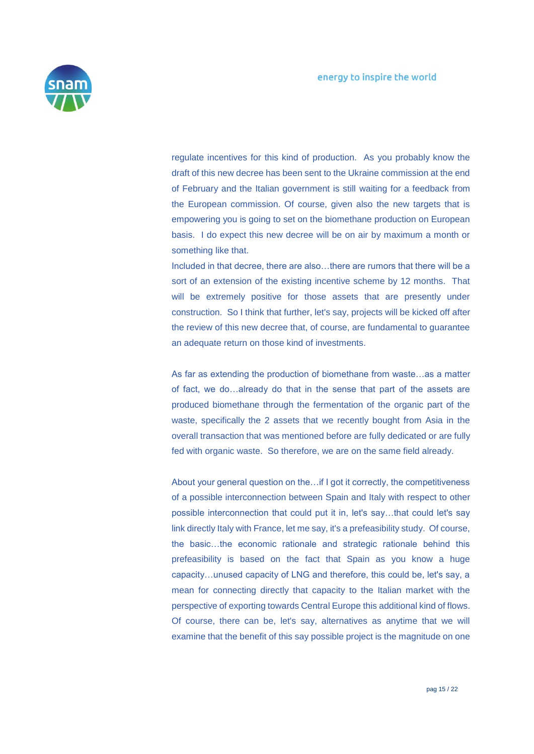

regulate incentives for this kind of production. As you probably know the draft of this new decree has been sent to the Ukraine commission at the end of February and the Italian government is still waiting for a feedback from the European commission. Of course, given also the new targets that is empowering you is going to set on the biomethane production on European basis. I do expect this new decree will be on air by maximum a month or something like that.

Included in that decree, there are also…there are rumors that there will be a sort of an extension of the existing incentive scheme by 12 months. That will be extremely positive for those assets that are presently under construction. So I think that further, let's say, projects will be kicked off after the review of this new decree that, of course, are fundamental to guarantee an adequate return on those kind of investments.

As far as extending the production of biomethane from waste…as a matter of fact, we do…already do that in the sense that part of the assets are produced biomethane through the fermentation of the organic part of the waste, specifically the 2 assets that we recently bought from Asia in the overall transaction that was mentioned before are fully dedicated or are fully fed with organic waste. So therefore, we are on the same field already.

About your general question on the…if I got it correctly, the competitiveness of a possible interconnection between Spain and Italy with respect to other possible interconnection that could put it in, let's say…that could let's say link directly Italy with France, let me say, it's a prefeasibility study. Of course, the basic…the economic rationale and strategic rationale behind this prefeasibility is based on the fact that Spain as you know a huge capacity…unused capacity of LNG and therefore, this could be, let's say, a mean for connecting directly that capacity to the Italian market with the perspective of exporting towards Central Europe this additional kind of flows. Of course, there can be, let's say, alternatives as anytime that we will examine that the benefit of this say possible project is the magnitude on one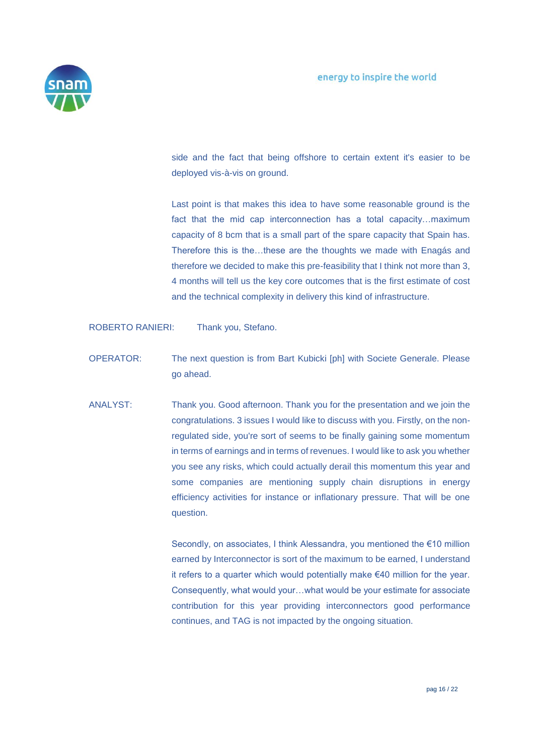

side and the fact that being offshore to certain extent it's easier to be deployed vis-à-vis on ground.

Last point is that makes this idea to have some reasonable ground is the fact that the mid cap interconnection has a total capacity…maximum capacity of 8 bcm that is a small part of the spare capacity that Spain has. Therefore this is the…these are the thoughts we made with Enagás and therefore we decided to make this pre-feasibility that I think not more than 3, 4 months will tell us the key core outcomes that is the first estimate of cost and the technical complexity in delivery this kind of infrastructure.

ROBERTO RANIERI: Thank you, Stefano.

- OPERATOR: The next question is from Bart Kubicki [ph] with Societe Generale. Please go ahead.
- ANALYST: Thank you. Good afternoon. Thank you for the presentation and we join the congratulations. 3 issues I would like to discuss with you. Firstly, on the nonregulated side, you're sort of seems to be finally gaining some momentum in terms of earnings and in terms of revenues. I would like to ask you whether you see any risks, which could actually derail this momentum this year and some companies are mentioning supply chain disruptions in energy efficiency activities for instance or inflationary pressure. That will be one question.

Secondly, on associates, I think Alessandra, you mentioned the €10 million earned by Interconnector is sort of the maximum to be earned, I understand it refers to a quarter which would potentially make €40 million for the year. Consequently, what would your…what would be your estimate for associate contribution for this year providing interconnectors good performance continues, and TAG is not impacted by the ongoing situation.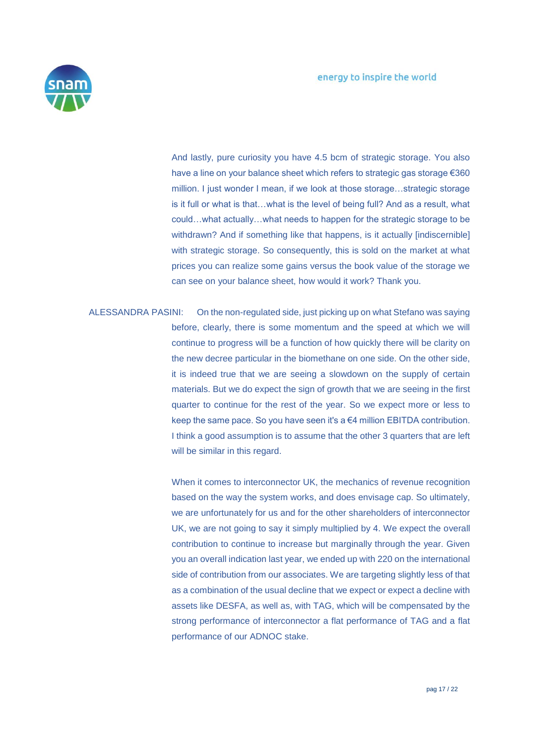

And lastly, pure curiosity you have 4.5 bcm of strategic storage. You also have a line on your balance sheet which refers to strategic gas storage €360 million. I just wonder I mean, if we look at those storage…strategic storage is it full or what is that…what is the level of being full? And as a result, what could…what actually…what needs to happen for the strategic storage to be withdrawn? And if something like that happens, is it actually [indiscernible] with strategic storage. So consequently, this is sold on the market at what prices you can realize some gains versus the book value of the storage we can see on your balance sheet, how would it work? Thank you.

ALESSANDRA PASINI: On the non-regulated side, just picking up on what Stefano was saying before, clearly, there is some momentum and the speed at which we will continue to progress will be a function of how quickly there will be clarity on the new decree particular in the biomethane on one side. On the other side, it is indeed true that we are seeing a slowdown on the supply of certain materials. But we do expect the sign of growth that we are seeing in the first quarter to continue for the rest of the year. So we expect more or less to keep the same pace. So you have seen it's a €4 million EBITDA contribution. I think a good assumption is to assume that the other 3 quarters that are left will be similar in this regard.

> When it comes to interconnector UK, the mechanics of revenue recognition based on the way the system works, and does envisage cap. So ultimately, we are unfortunately for us and for the other shareholders of interconnector UK, we are not going to say it simply multiplied by 4. We expect the overall contribution to continue to increase but marginally through the year. Given you an overall indication last year, we ended up with 220 on the international side of contribution from our associates. We are targeting slightly less of that as a combination of the usual decline that we expect or expect a decline with assets like DESFA, as well as, with TAG, which will be compensated by the strong performance of interconnector a flat performance of TAG and a flat performance of our ADNOC stake.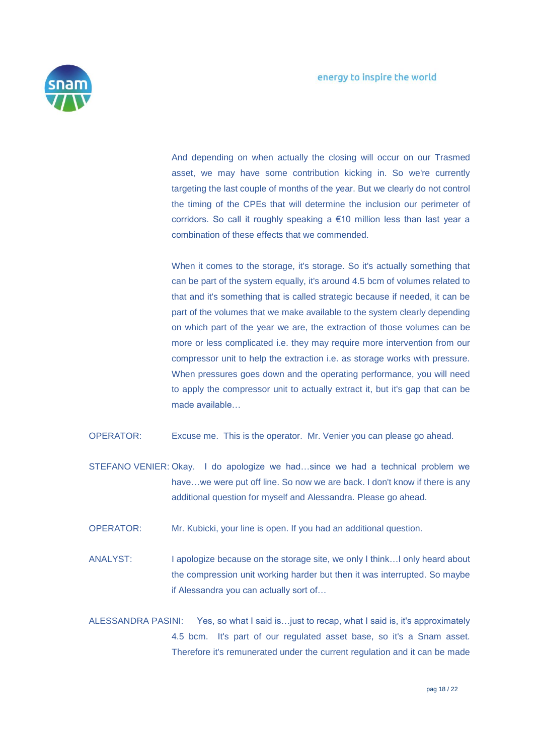

And depending on when actually the closing will occur on our Trasmed asset, we may have some contribution kicking in. So we're currently targeting the last couple of months of the year. But we clearly do not control the timing of the CPEs that will determine the inclusion our perimeter of corridors. So call it roughly speaking a €10 million less than last year a combination of these effects that we commended.

When it comes to the storage, it's storage. So it's actually something that can be part of the system equally, it's around 4.5 bcm of volumes related to that and it's something that is called strategic because if needed, it can be part of the volumes that we make available to the system clearly depending on which part of the year we are, the extraction of those volumes can be more or less complicated i.e. they may require more intervention from our compressor unit to help the extraction i.e. as storage works with pressure. When pressures goes down and the operating performance, you will need to apply the compressor unit to actually extract it, but it's gap that can be made available…

- OPERATOR: Excuse me. This is the operator. Mr. Venier you can please go ahead.
- STEFANO VENIER: Okay. I do apologize we had…since we had a technical problem we have...we were put off line. So now we are back. I don't know if there is any additional question for myself and Alessandra. Please go ahead.
- OPERATOR: Mr. Kubicki, your line is open. If you had an additional question.
- ANALYST: I apologize because on the storage site, we only I think... I only heard about the compression unit working harder but then it was interrupted. So maybe if Alessandra you can actually sort of…
- ALESSANDRA PASINI: Yes, so what I said is…just to recap, what I said is, it's approximately 4.5 bcm. It's part of our regulated asset base, so it's a Snam asset. Therefore it's remunerated under the current regulation and it can be made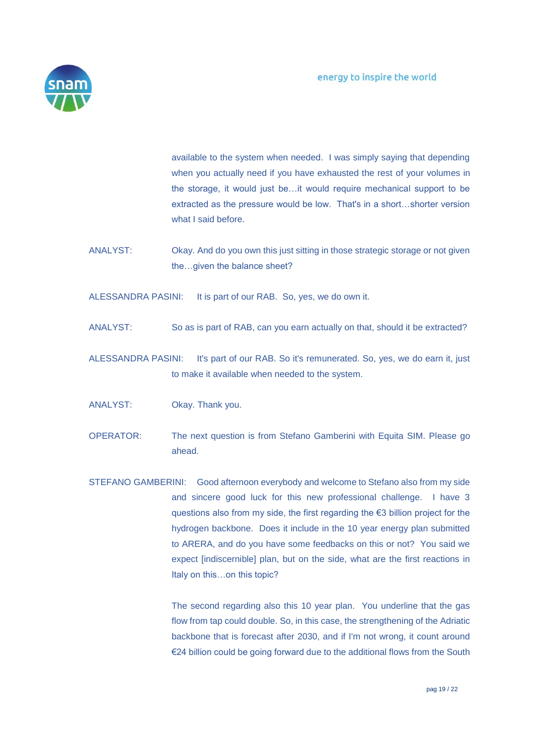

available to the system when needed. I was simply saying that depending when you actually need if you have exhausted the rest of your volumes in the storage, it would just be…it would require mechanical support to be extracted as the pressure would be low. That's in a short…shorter version what I said before.

ANALYST: Okay. And do you own this just sitting in those strategic storage or not given the…given the balance sheet?

ALESSANDRA PASINI: It is part of our RAB. So, yes, we do own it.

- ANALYST: So as is part of RAB, can you earn actually on that, should it be extracted?
- ALESSANDRA PASINI: It's part of our RAB. So it's remunerated. So, yes, we do earn it, just to make it available when needed to the system.
- ANALYST: Okay. Thank you.
- OPERATOR: The next question is from Stefano Gamberini with Equita SIM. Please go ahead.
- STEFANO GAMBERINI: Good afternoon everybody and welcome to Stefano also from my side and sincere good luck for this new professional challenge. I have 3 questions also from my side, the first regarding the €3 billion project for the hydrogen backbone. Does it include in the 10 year energy plan submitted to ARERA, and do you have some feedbacks on this or not? You said we expect [indiscernible] plan, but on the side, what are the first reactions in Italy on this…on this topic?

The second regarding also this 10 year plan. You underline that the gas flow from tap could double. So, in this case, the strengthening of the Adriatic backbone that is forecast after 2030, and if I'm not wrong, it count around €24 billion could be going forward due to the additional flows from the South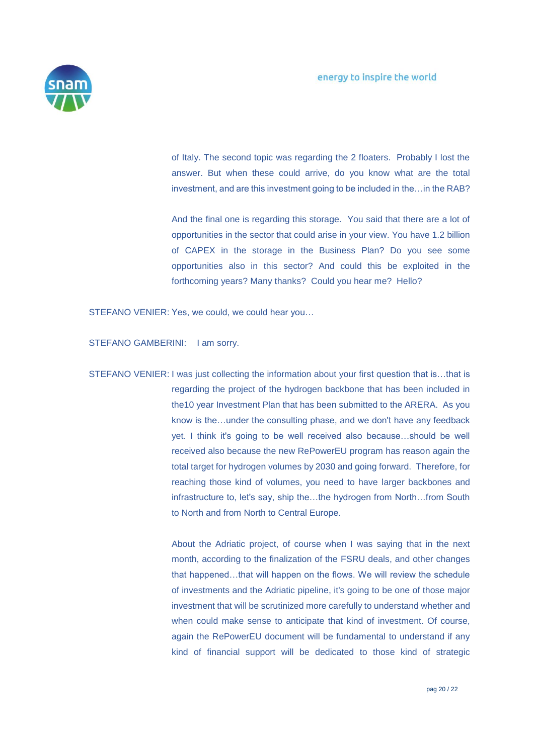

of Italy. The second topic was regarding the 2 floaters. Probably I lost the answer. But when these could arrive, do you know what are the total investment, and are this investment going to be included in the…in the RAB?

And the final one is regarding this storage. You said that there are a lot of opportunities in the sector that could arise in your view. You have 1.2 billion of CAPEX in the storage in the Business Plan? Do you see some opportunities also in this sector? And could this be exploited in the forthcoming years? Many thanks? Could you hear me? Hello?

STEFANO VENIER: Yes, we could, we could hear you…

STEFANO GAMBERINI: I am sorry.

STEFANO VENIER: I was just collecting the information about your first question that is…that is regarding the project of the hydrogen backbone that has been included in the10 year Investment Plan that has been submitted to the ARERA. As you know is the…under the consulting phase, and we don't have any feedback yet. I think it's going to be well received also because…should be well received also because the new RePowerEU program has reason again the total target for hydrogen volumes by 2030 and going forward. Therefore, for reaching those kind of volumes, you need to have larger backbones and infrastructure to, let's say, ship the…the hydrogen from North…from South to North and from North to Central Europe.

> About the Adriatic project, of course when I was saying that in the next month, according to the finalization of the FSRU deals, and other changes that happened…that will happen on the flows. We will review the schedule of investments and the Adriatic pipeline, it's going to be one of those major investment that will be scrutinized more carefully to understand whether and when could make sense to anticipate that kind of investment. Of course, again the RePowerEU document will be fundamental to understand if any kind of financial support will be dedicated to those kind of strategic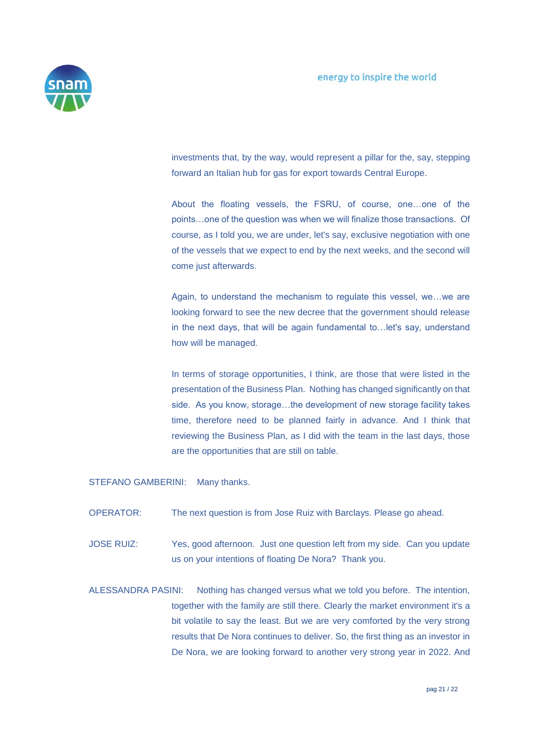

investments that, by the way, would represent a pillar for the, say, stepping forward an Italian hub for gas for export towards Central Europe.

About the floating vessels, the FSRU, of course, one…one of the points…one of the question was when we will finalize those transactions. Of course, as I told you, we are under, let's say, exclusive negotiation with one of the vessels that we expect to end by the next weeks, and the second will come just afterwards.

Again, to understand the mechanism to regulate this vessel, we…we are looking forward to see the new decree that the government should release in the next days, that will be again fundamental to…let's say, understand how will be managed.

In terms of storage opportunities, I think, are those that were listed in the presentation of the Business Plan. Nothing has changed significantly on that side. As you know, storage…the development of new storage facility takes time, therefore need to be planned fairly in advance. And I think that reviewing the Business Plan, as I did with the team in the last days, those are the opportunities that are still on table.

STEFANO GAMBERINI: Many thanks.

- OPERATOR: The next question is from Jose Ruiz with Barclays. Please go ahead.
- JOSE RUIZ: Yes, good afternoon. Just one question left from my side. Can you update us on your intentions of floating De Nora? Thank you.
- ALESSANDRA PASINI: Nothing has changed versus what we told you before. The intention, together with the family are still there. Clearly the market environment it's a bit volatile to say the least. But we are very comforted by the very strong results that De Nora continues to deliver. So, the first thing as an investor in De Nora, we are looking forward to another very strong year in 2022. And